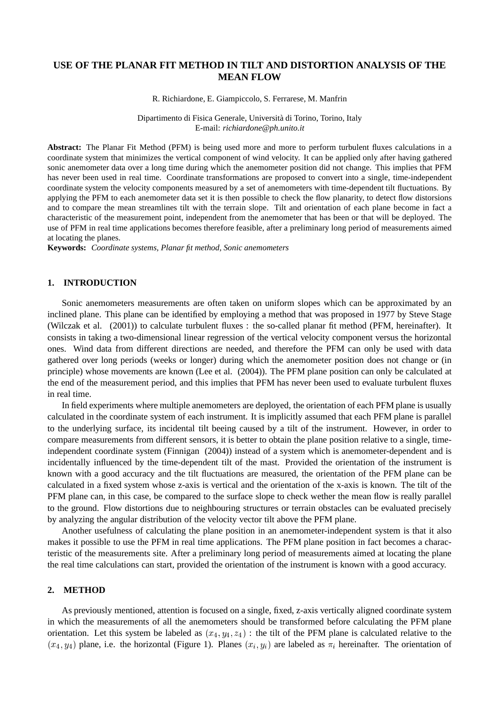# **USE OF THE PLANAR FIT METHOD IN TILT AND DISTORTION ANALYSIS OF THE MEAN FLOW**

R. Richiardone, E. Giampiccolo, S. Ferrarese, M. Manfrin

Dipartimento di Fisica Generale, Università di Torino, Torino, Italy E-mail: *richiardone@ph.unito.it*

**Abstract:** The Planar Fit Method (PFM) is being used more and more to perform turbulent fluxes calculations in a coordinate system that minimizes the vertical component of wind velocity. It can be applied only after having gathered sonic anemometer data over a long time during which the anemometer position did not change. This implies that PFM has never been used in real time. Coordinate transformations are proposed to convert into a single, time-independent coordinate system the velocity components measured by a set of anemometers with time-dependent tilt fluctuations. By applying the PFM to each anemometer data set it is then possible to check the flow planarity, to detect flow distorsions and to compare the mean streamlines tilt with the terrain slope. Tilt and orientation of each plane become in fact a characteristic of the measurement point, independent from the anemometer that has been or that will be deployed. The use of PFM in real time applications becomes therefore feasible, after a preliminary long period of measurements aimed at locating the planes.

**Keywords:** *Coordinate systems, Planar fit method, Sonic anemometers*

## **1. INTRODUCTION**

Sonic anemometers measurements are often taken on uniform slopes which can be approximated by an inclined plane. This plane can be identified by employing a method that was proposed in 1977 by Steve Stage (Wilczak et al. (2001)) to calculate turbulent fluxes : the so-called planar fit method (PFM, hereinafter). It consists in taking a two-dimensional linear regression of the vertical velocity component versus the horizontal ones. Wind data from different directions are needed, and therefore the PFM can only be used with data gathered over long periods (weeks or longer) during which the anemometer position does not change or (in principle) whose movements are known (Lee et al. (2004)). The PFM plane position can only be calculated at the end of the measurement period, and this implies that PFM has never been used to evaluate turbulent fluxes in real time.

In field experiments where multiple anemometers are deployed, the orientation of each PFM plane is usually calculated in the coordinate system of each instrument. It is implicitly assumed that each PFM plane is parallel to the underlying surface, its incidental tilt beeing caused by a tilt of the instrument. However, in order to compare measurements from different sensors, it is better to obtain the plane position relative to a single, timeindependent coordinate system (Finnigan (2004)) instead of a system which is anemometer-dependent and is incidentally influenced by the time-dependent tilt of the mast. Provided the orientation of the instrument is known with a good accuracy and the tilt fluctuations are measured, the orientation of the PFM plane can be calculated in a fixed system whose z-axis is vertical and the orientation of the x-axis is known. The tilt of the PFM plane can, in this case, be compared to the surface slope to check wether the mean flow is really parallel to the ground. Flow distortions due to neighbouring structures or terrain obstacles can be evaluated precisely by analyzing the angular distribution of the velocity vector tilt above the PFM plane.

Another usefulness of calculating the plane position in an anemometer-independent system is that it also makes it possible to use the PFM in real time applications. The PFM plane position in fact becomes a characteristic of the measurements site. After a preliminary long period of measurements aimed at locating the plane the real time calculations can start, provided the orientation of the instrument is known with a good accuracy.

#### **2. METHOD**

As previously mentioned, attention is focused on a single, fixed, z-axis vertically aligned coordinate system in which the measurements of all the anemometers should be transformed before calculating the PFM plane orientation. Let this system be labeled as  $(x_4, y_4, z_4)$ : the tilt of the PFM plane is calculated relative to the  $(x_4, y_4)$  plane, i.e. the horizontal (Figure 1). Planes  $(x_i, y_i)$  are labeled as  $\pi_i$  hereinafter. The orientation of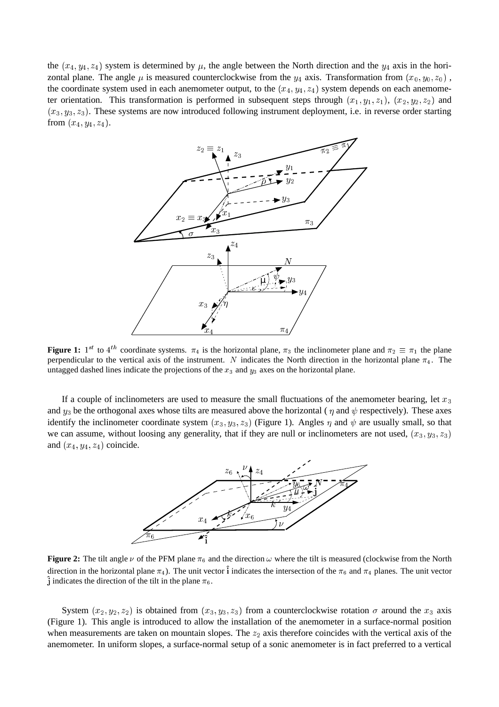the  $(x_4, y_4, z_4)$  system is determined by  $\mu$ , the angle between the North direction and the  $y_4$  axis in the horizontal plane. The angle  $\mu$  is measured counterclockwise from the  $y_4$  axis. Transformation from  $(x_0, y_0, z_0)$ , the coordinate system used in each anemometer output, to the  $(x_4, y_4, z_4)$  system depends on each anemometer orientation. This transformation is performed in subsequent steps through  $(x_1, y_1, z_1)$ ,  $(x_2, y_2, z_2)$  and  $(x_3, y_3, z_3)$ . These systems are now introduced following instrument deployment, i.e. in reverse order starting from  $(x_4, y_4, z_4)$ .



**Figure 1:** 1<sup>st</sup> to 4<sup>th</sup> coordinate systems.  $\pi_4$  is the horizontal plane,  $\pi_3$  the inclinometer plane and  $\pi_2 \equiv \pi_1$  the plane perpendicular to the vertical axis of the instrument. N indicates the North direction in the horizontal plane  $\pi_4$ . The untagged dashed lines indicate the projections of the  $x_3$  and  $y_3$  axes on the horizontal plane.

If a couple of inclinometers are used to measure the small fluctuations of the anemometer bearing, let  $x_3$ and  $y_3$  be the orthogonal axes whose tilts are measured above the horizontal ( $\eta$  and  $\psi$  respectively). These axes identify the inclinometer coordinate system  $(x_3, y_3, z_3)$  (Figure 1). Angles  $\eta$  and  $\psi$  are usually small, so that we can assume, without loosing any generality, that if they are null or inclinometers are not used,  $(x_3, y_3, z_3)$ and  $(x_4, y_4, z_4)$  coincide.



**Figure 2:** The tilt angle  $\nu$  of the PFM plane  $\pi_6$  and the direction  $\omega$  where the tilt is measured (clockwise from the North direction in the horizontal plane  $\pi_4$ ). The unit vector  $\hat{\mathbf{i}}$  indicates the intersection of the  $\pi_6$  and  $\pi_4$  planes. The unit vector  $\hat{\mathbf{j}}$  indicates the direction of the tilt in the plane  $\pi_6$ .

System  $(x_2, y_2, z_2)$  is obtained from  $(x_3, y_3, z_3)$  from a counterclockwise rotation  $\sigma$  around the  $x_3$  axis (Figure 1). This angle is introduced to allow the installation of the anemometer in a surface-normal position when measurements are taken on mountain slopes. The  $z<sub>2</sub>$  axis therefore coincides with the vertical axis of the anemometer. In uniform slopes, a surface-normal setup of a sonic anemometer is in fact preferred to a vertical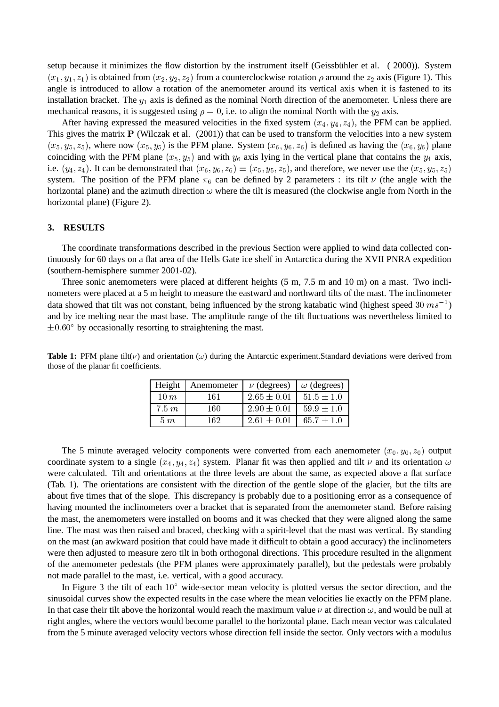setup because it minimizes the flow distortion by the instrument itself (Geissbühler et al. ( 2000)). System  $(x_1, y_1, z_1)$  is obtained from  $(x_2, y_2, z_2)$  from a counterclockwise rotation  $\rho$  around the  $z_2$  axis (Figure 1). This angle is introduced to allow a rotation of the anemometer around its vertical axis when it is fastened to its installation bracket. The  $y_1$  axis is defined as the nominal North direction of the anemometer. Unless there are mechanical reasons, it is suggested using  $\rho = 0$ , i.e. to align the nominal North with the  $y_2$  axis.

After having expressed the measured velocities in the fixed system  $(x_4, y_4, z_4)$ , the PFM can be applied. This gives the matrix P (Wilczak et al. (2001)) that can be used to transform the velocities into a new system  $(x_5, y_5, z_5)$ , where now  $(x_5, y_5)$  is the PFM plane. System  $(x_6, y_6, z_6)$  is defined as having the  $(x_6, y_6)$  plane coinciding with the PFM plane  $(x_5, y_5)$  and with  $y_6$  axis lying in the vertical plane that contains the  $y_4$  axis, i.e.  $(y_4, z_4)$ . It can be demonstrated that  $(x_6, y_6, z_6) \equiv (x_5, y_5, z_5)$ , and therefore, we never use the  $(x_5, y_5, z_5)$ system. The position of the PFM plane  $\pi_6$  can be defined by 2 parameters : its tilt  $\nu$  (the angle with the horizontal plane) and the azimuth direction  $\omega$  where the tilt is measured (the clockwise angle from North in the horizontal plane) (Figure 2).

## **3. RESULTS**

The coordinate transformations described in the previous Section were applied to wind data collected continuously for 60 days on a flat area of the Hells Gate ice shelf in Antarctica during the XVII PNRA expedition (southern-hemisphere summer 2001-02).

Three sonic anemometers were placed at different heights (5 m, 7.5 m and 10 m) on a mast. Two inclinometers were placed at a 5 m height to measure the eastward and northward tilts of the mast. The inclinometer data showed that tilt was not constant, being influenced by the strong katabatic wind (highest speed 30  $ms^{-1}$ ) and by ice melting near the mast base. The amplitude range of the tilt fluctuations was nevertheless limited to  $\pm 0.60^{\circ}$  by occasionally resorting to straightening the mast.

| Height    | Anemometer | $\nu$ (degrees) $\omega$ (degrees) |                   |
|-----------|------------|------------------------------------|-------------------|
| $10 \; m$ | 161        | $2.65 \pm 0.01$                    | $51.5 \pm 1.0$    |
| 7.5~m     | 160        | $2.90 \pm 0.01$                    | $1\,59.9 \pm 1.0$ |
| $5 \; m$  | 162.       | $2.61 \pm 0.01$   65.7 $\pm$ 1.0   |                   |

**Table 1:** PFM plane tilt( $\nu$ ) and orientation ( $\omega$ ) during the Antarctic experiment.Standard deviations were derived from those of the planar fit coefficients.

The 5 minute averaged velocity components were converted from each anemometer  $(x_0, y_0, z_0)$  output coordinate system to a single  $(x_4, y_4, z_4)$  system. Planar fit was then applied and tilt  $\nu$  and its orientation  $\omega$ were calculated. Tilt and orientations at the three levels are about the same, as expected above a flat surface (Tab. 1). The orientations are consistent with the direction of the gentle slope of the glacier, but the tilts are about five times that of the slope. This discrepancy is probably due to a positioning error as a consequence of having mounted the inclinometers over a bracket that is separated from the anemometer stand. Before raising the mast, the anemometers were installed on booms and it was checked that they were aligned along the same line. The mast was then raised and braced, checking with a spirit-level that the mast was vertical. By standing on the mast (an awkward position that could have made it difficult to obtain a good accuracy) the inclinometers were then adjusted to measure zero tilt in both orthogonal directions. This procedure resulted in the alignment of the anemometer pedestals (the PFM planes were approximately parallel), but the pedestals were probably not made parallel to the mast, i.e. vertical, with a good accuracy.

In Figure 3 the tilt of each  $10^{\circ}$  wide-sector mean velocity is plotted versus the sector direction, and the sinusoidal curves show the expected results in the case where the mean velocities lie exactly on the PFM plane. In that case their tilt above the horizontal would reach the maximum value  $\nu$  at direction  $\omega$ , and would be null at right angles, where the vectors would become parallel to the horizontal plane. Each mean vector was calculated from the 5 minute averaged velocity vectors whose direction fell inside the sector. Only vectors with a modulus